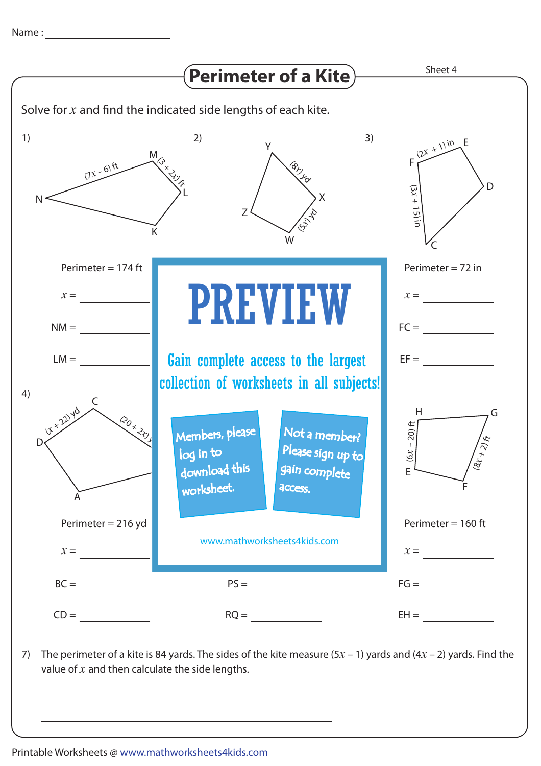

7) The perimeter of a kite is 84 yards. The sides of the kite measure  $(5x - 1)$  yards and  $(4x - 2)$  yards. Find the value of *x* and then calculate the side lengths.